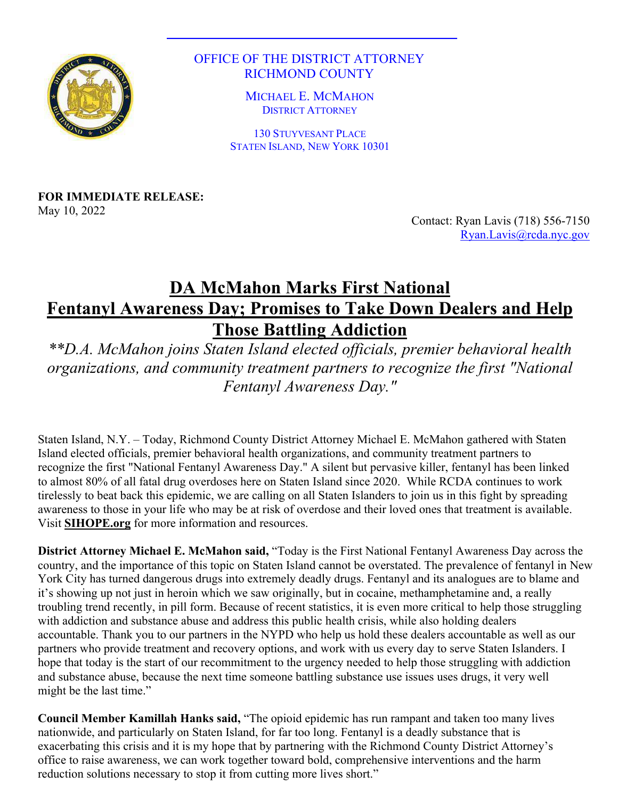

## OFFICE OF THE DISTRICT ATTORNEY RICHMOND COUNTY

MICHAEL E. MCMAHON DISTRICT ATTORNEY

130 STUYVESANT PLACE STATEN ISLAND, NEW YORK 10301

**FOR IMMEDIATE RELEASE:** May 10, 2022

Contact: Ryan Lavis (718) 556-7150 Ryan.Lavis@rcda.nyc.gov

## **DA McMahon Marks First National Fentanyl Awareness Day; Promises to Take Down Dealers and Help Those Battling Addiction**

*\*\*D.A. McMahon joins Staten Island elected officials, premier behavioral health organizations, and community treatment partners to recognize the first "National Fentanyl Awareness Day."*

Staten Island, N.Y. – Today, Richmond County District Attorney Michael E. McMahon gathered with Staten Island elected officials, premier behavioral health organizations, and community treatment partners to recognize the first "National Fentanyl Awareness Day." A silent but pervasive killer, fentanyl has been linked to almost 80% of all fatal drug overdoses here on Staten Island since 2020. While RCDA continues to work tirelessly to beat back this epidemic, we are calling on all Staten Islanders to join us in this fight by spreading awareness to those in your life who may be at risk of overdose and their loved ones that treatment is available. Visit **SIHOPE.org** for more information and resources.

**District Attorney Michael E. McMahon said,** "Today is the First National Fentanyl Awareness Day across the country, and the importance of this topic on Staten Island cannot be overstated. The prevalence of fentanyl in New York City has turned dangerous drugs into extremely deadly drugs. Fentanyl and its analogues are to blame and it's showing up not just in heroin which we saw originally, but in cocaine, methamphetamine and, a really troubling trend recently, in pill form. Because of recent statistics, it is even more critical to help those struggling with addiction and substance abuse and address this public health crisis, while also holding dealers accountable. Thank you to our partners in the NYPD who help us hold these dealers accountable as well as our partners who provide treatment and recovery options, and work with us every day to serve Staten Islanders. I hope that today is the start of our recommitment to the urgency needed to help those struggling with addiction and substance abuse, because the next time someone battling substance use issues uses drugs, it very well might be the last time."

**Council Member Kamillah Hanks said,** "The opioid epidemic has run rampant and taken too many lives nationwide, and particularly on Staten Island, for far too long. Fentanyl is a deadly substance that is exacerbating this crisis and it is my hope that by partnering with the Richmond County District Attorney's office to raise awareness, we can work together toward bold, comprehensive interventions and the harm reduction solutions necessary to stop it from cutting more lives short."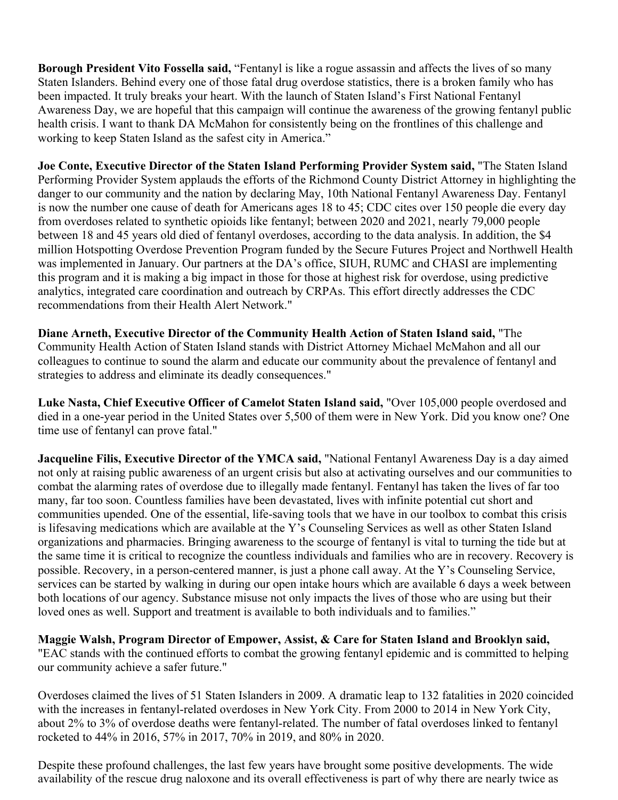**Borough President Vito Fossella said,** "Fentanyl is like a rogue assassin and affects the lives of so many Staten Islanders. Behind every one of those fatal drug overdose statistics, there is a broken family who has been impacted. It truly breaks your heart. With the launch of Staten Island's First National Fentanyl Awareness Day, we are hopeful that this campaign will continue the awareness of the growing fentanyl public health crisis. I want to thank DA McMahon for consistently being on the frontlines of this challenge and working to keep Staten Island as the safest city in America."

**Joe Conte, Executive Director of the Staten Island Performing Provider System said,** "The Staten Island Performing Provider System applauds the efforts of the Richmond County District Attorney in highlighting the danger to our community and the nation by declaring May, 10th National Fentanyl Awareness Day. Fentanyl is now the number one cause of death for Americans ages 18 to 45; CDC cites over 150 people die every day from overdoses related to synthetic opioids like fentanyl; between 2020 and 2021, nearly 79,000 people between 18 and 45 years old died of fentanyl overdoses, according to the data analysis. In addition, the \$4 million Hotspotting Overdose Prevention Program funded by the Secure Futures Project and Northwell Health was implemented in January. Our partners at the DA's office, SIUH, RUMC and CHASI are implementing this program and it is making a big impact in those for those at highest risk for overdose, using predictive analytics, integrated care coordination and outreach by CRPAs. This effort directly addresses the CDC recommendations from their Health Alert Network."

**Diane Arneth, Executive Director of the Community Health Action of Staten Island said,** "The Community Health Action of Staten Island stands with District Attorney Michael McMahon and all our colleagues to continue to sound the alarm and educate our community about the prevalence of fentanyl and strategies to address and eliminate its deadly consequences."

**Luke Nasta, Chief Executive Officer of Camelot Staten Island said,** "Over 105,000 people overdosed and died in a one-year period in the United States over 5,500 of them were in New York. Did you know one? One time use of fentanyl can prove fatal."

**Jacqueline Filis, Executive Director of the YMCA said,** "National Fentanyl Awareness Day is a day aimed not only at raising public awareness of an urgent crisis but also at activating ourselves and our communities to combat the alarming rates of overdose due to illegally made fentanyl. Fentanyl has taken the lives of far too many, far too soon. Countless families have been devastated, lives with infinite potential cut short and communities upended. One of the essential, life-saving tools that we have in our toolbox to combat this crisis is lifesaving medications which are available at the Y's Counseling Services as well as other Staten Island organizations and pharmacies. Bringing awareness to the scourge of fentanyl is vital to turning the tide but at the same time it is critical to recognize the countless individuals and families who are in recovery. Recovery is possible. Recovery, in a person-centered manner, is just a phone call away. At the Y's Counseling Service, services can be started by walking in during our open intake hours which are available 6 days a week between both locations of our agency. Substance misuse not only impacts the lives of those who are using but their loved ones as well. Support and treatment is available to both individuals and to families."

**Maggie Walsh, Program Director of Empower, Assist, & Care for Staten Island and Brooklyn said,** "EAC stands with the continued efforts to combat the growing fentanyl epidemic and is committed to helping our community achieve a safer future."

Overdoses claimed the lives of 51 Staten Islanders in 2009. A dramatic leap to 132 fatalities in 2020 coincided with the increases in fentanyl-related overdoses in New York City. From 2000 to 2014 in New York City, about 2% to 3% of overdose deaths were fentanyl-related. The number of fatal overdoses linked to fentanyl rocketed to 44% in 2016, 57% in 2017, 70% in 2019, and 80% in 2020.

Despite these profound challenges, the last few years have brought some positive developments. The wide availability of the rescue drug naloxone and its overall effectiveness is part of why there are nearly twice as